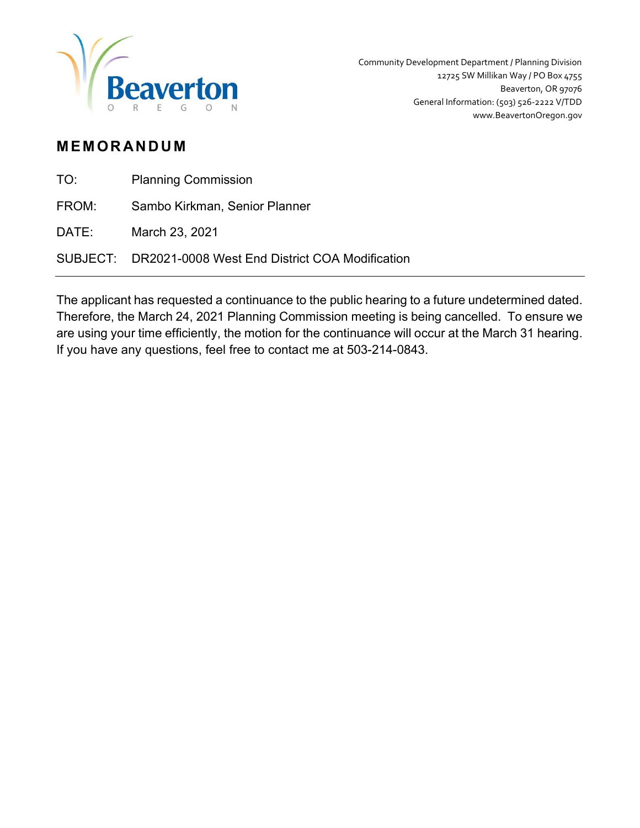

 Community Development Department / Planning Division 12725 SW Millikan Way / PO Box 4755 Beaverton, OR 97076 General Information: (503) 526-2222 V/TDD www.BeavertonOregon.gov

## **MEMORANDUM**

| TO: | <b>Planning Commission</b> |
|-----|----------------------------|
|-----|----------------------------|

FROM: Sambo Kirkman, Senior Planner

DATE: March 23, 2021

SUBJECT: DR2021-0008 West End District COA Modification

The applicant has requested a continuance to the public hearing to a future undetermined dated. Therefore, the March 24, 2021 Planning Commission meeting is being cancelled. To ensure we are using your time efficiently, the motion for the continuance will occur at the March 31 hearing. If you have any questions, feel free to contact me at 503-214-0843.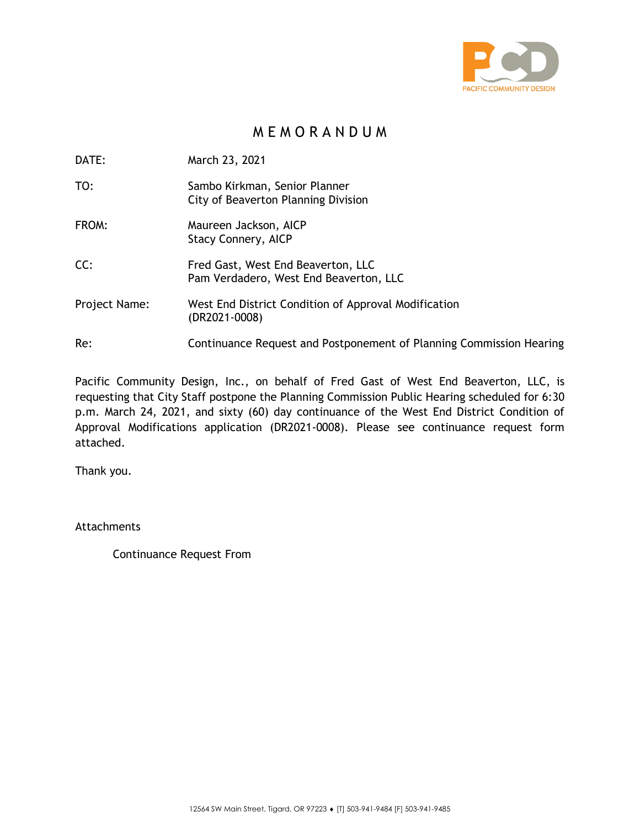

## M E M O R A N D U M

DATE: March 23, 2021

- TO: Sambo Kirkman, Senior Planner City of Beaverton Planning Division
- FROM: Maureen Jackson, AICP Stacy Connery, AICP
- CC: Fred Gast, West End Beaverton, LLC Pam Verdadero, West End Beaverton, LLC
- Project Name: West End District Condition of Approval Modification (DR2021-0008)
- Re: Continuance Request and Postponement of Planning Commission Hearing

Pacific Community Design, Inc., on behalf of Fred Gast of West End Beaverton, LLC, is requesting that City Staff postpone the Planning Commission Public Hearing scheduled for 6:30 p.m. March 24, 2021, and sixty (60) day continuance of the West End District Condition of Approval Modifications application (DR2021-0008). Please see continuance request form attached.

Thank you.

Attachments

Continuance Request From